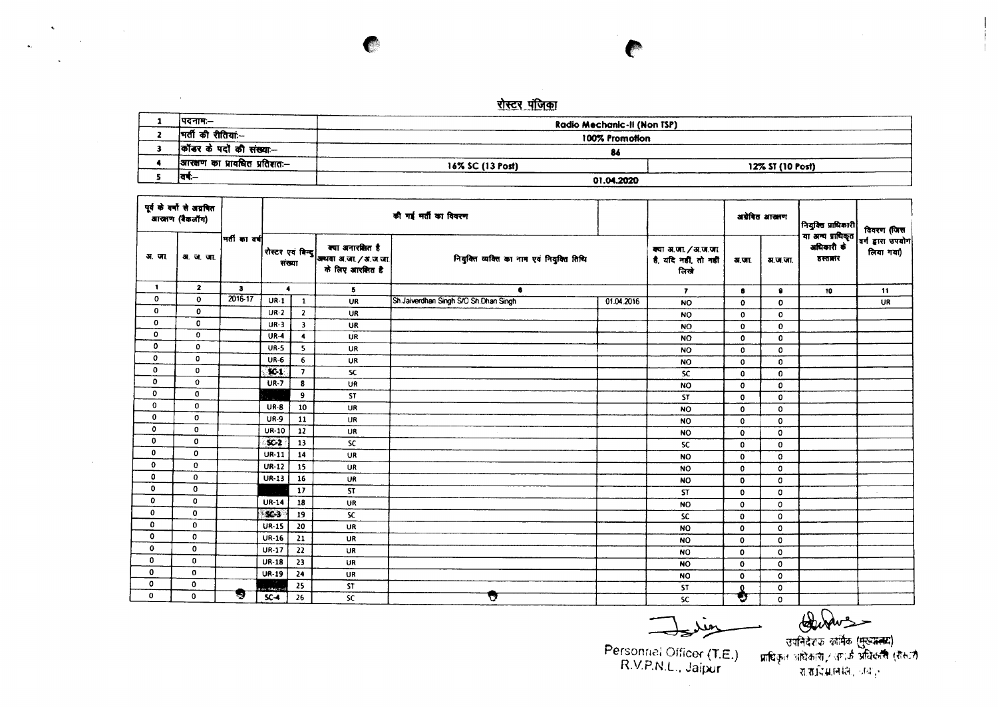## <u>रोस्टर पंजिका</u>

 $\hat{\mathbf{v}}$ 

 $\sim$ 

 $\ddot{\phantom{a}}$ 

 $\sim 10^{11}$  km

**Contract Contract** 

 $\sim$ 

| ।पदनामः—                      | Radio Mechanic-II (Non TSP) |                  |
|-------------------------------|-----------------------------|------------------|
| मिर्ती की रीतियां:--          | 100% Promotion              |                  |
| कॉंडर के पदों की संख्या—      | 86                          |                  |
| आरक्षण का प्रावधित प्रतिशत:-- | 16% SC (13 Post)            | 12% ST (10 Post) |
| ।वर्ष:—                       | 01.04.2020                  |                  |

| पूर्व के वर्षों से अग्रवित<br>वाखाण (बैकलॉग) |              |              |                      |                         |           | की गई भर्ती का विवरण                                            |                                           |           |                                                       | अग्रेषित आरक्षण         | नियुक्ति प्राधिकारी | विवरण (जिस                                 |                                 |    |
|----------------------------------------------|--------------|--------------|----------------------|-------------------------|-----------|-----------------------------------------------------------------|-------------------------------------------|-----------|-------------------------------------------------------|-------------------------|---------------------|--------------------------------------------|---------------------------------|----|
| अ. जा                                        | अ. ज. जा.    |              | मती का वर्ष          |                         |           | रोस्टर एवं बिन्दु   अध्यया अ.जा. / अ.ज.जा.<br>के लिए आरक्षित है | नियुक्ति व्यक्ति का नाम एवं नियुक्ति तिथि |           | क्या अ.जा. / अ.ज.जा.<br>है, यदि नहीं, तो नहीं<br>लिखे | अ.जा.                   | म, ज.जा.            | या अन्य प्राधिकृत<br>अधिकारी के<br>हस्तातर | वर्ग द्वारा उपयोग <br>लिया गया) |    |
| $\mathbf{1}$                                 | $\mathbf{z}$ | $\mathbf{3}$ | $\blacktriangleleft$ |                         |           |                                                                 | $\overline{5}$                            | 6         |                                                       | $\overline{\mathbf{r}}$ | 8                   |                                            | 10                              | 11 |
| 0                                            | $\mathbf 0$  | 2016-17      | $UR-1$               | $\mathbf{1}$            | <b>UR</b> | Sh Jaiverdhan Singh S/O Sh Dhan Singh                           | 01.04.2016                                | <b>NO</b> | 0                                                     | $\mathbf{0}$            |                     | UR                                         |                                 |    |
| 0                                            | $\mathbf 0$  |              | $UR-2$               | $\mathbf{2}$            | <b>UR</b> |                                                                 |                                           | <b>NO</b> | 0                                                     | 0                       |                     |                                            |                                 |    |
| 0                                            | $\mathbf 0$  |              | <b>UR-3</b>          | $\overline{\mathbf{3}}$ | UR        |                                                                 |                                           | <b>NO</b> | $\mathbf 0$                                           | $\mathbf 0$             |                     |                                            |                                 |    |
| 0                                            | 0            |              | $UR-4$               | $\blacktriangleleft$    | UR        |                                                                 |                                           | <b>NO</b> | 0                                                     | 0                       |                     |                                            |                                 |    |
| 0                                            | 0            |              | <b>UR-5</b>          | 5                       | <b>UR</b> |                                                                 |                                           | <b>NO</b> | 0                                                     | $\circ$                 |                     |                                            |                                 |    |
| 0                                            | $\mathbf{o}$ |              | <b>UR-6</b>          | 6                       | UR        |                                                                 |                                           | <b>NO</b> | 0                                                     | $\mathbf 0$             |                     |                                            |                                 |    |
| $\mathbf 0$                                  | $\mathbf{0}$ |              | $50-1$               | $\mathbf{7}$            | <b>SC</b> |                                                                 |                                           | <b>SC</b> | $\bf{0}$                                              | $\bf{0}$                |                     |                                            |                                 |    |
| $\bf{0}$                                     | $\mathbf{o}$ |              | <b>UR-7</b>          | 8                       | <b>UR</b> |                                                                 |                                           | <b>NO</b> | $\mathbf 0$                                           | 0                       |                     |                                            |                                 |    |
| $\mathbf 0$                                  | 0            |              |                      | 9                       | <b>ST</b> |                                                                 |                                           | <b>ST</b> | $\mathbf 0$                                           | $\bf{0}$                |                     |                                            |                                 |    |
| $\bf{0}$                                     | 0            |              | <b>UR-8</b>          | 10                      | UR        |                                                                 |                                           | <b>NO</b> | $\bullet$                                             | $\mathbf 0$             |                     |                                            |                                 |    |
| 0                                            | $\mathbf 0$  |              | <b>UR-9</b>          | 11                      | UR        |                                                                 |                                           | <b>NO</b> | $\mathbf 0$                                           | 0                       |                     |                                            |                                 |    |
| 0                                            | 0            |              | UR-10                | 12                      | UR        |                                                                 |                                           | <b>NO</b> | $\mathbf{o}$                                          | 0                       |                     |                                            |                                 |    |
| 0                                            | 0            |              | $SC-2$               | 13                      | <b>SC</b> |                                                                 |                                           | <b>SC</b> | $\mathbf{0}$                                          | $\bf{0}$                |                     |                                            |                                 |    |
| 0                                            | 0            |              | $UR-11$              | 14                      | UR        |                                                                 |                                           | <b>NO</b> | $\mathbf{o}$                                          | 0                       |                     |                                            |                                 |    |
| $\mathbf 0$                                  | 0            |              | $UR-12$              | 15                      | <b>UR</b> |                                                                 |                                           | <b>NO</b> | $\mathbf{0}$                                          | 0                       |                     |                                            |                                 |    |
| 0                                            | 0            |              | $UR-13$              | 16                      | UR        |                                                                 |                                           | <b>NO</b> | $\mathbf{o}$                                          | 0                       |                     |                                            |                                 |    |
| 0                                            | 0            |              |                      | 17                      | <b>ST</b> |                                                                 |                                           | ST        | $\mathbf{o}$                                          | 0                       |                     |                                            |                                 |    |
| 0                                            | 0            |              | <b>UR-14</b>         | 18                      | UR        |                                                                 |                                           | <b>NO</b> | $\mathbf{o}$                                          | 0                       |                     |                                            |                                 |    |
| 0                                            | $\mathbf 0$  |              | $5C-3$               | 19                      | <b>SC</b> |                                                                 |                                           | <b>SC</b> | $\mathbf{0}$                                          | $\mathbf 0$             |                     |                                            |                                 |    |
| $\mathbf 0$                                  | 0            |              | <b>UR-15</b>         | 20                      | UR        |                                                                 |                                           | <b>NO</b> | $\mathbf 0$                                           | 0                       |                     |                                            |                                 |    |
| $\mathbf 0$                                  | 0            |              | <b>UR-16</b>         | 21                      | UR        |                                                                 |                                           | <b>NO</b> | $\bullet$                                             | 0                       |                     |                                            |                                 |    |
| $\bf{0}$                                     | $\mathbf 0$  |              | <b>UR-17</b>         | 22                      | UR        |                                                                 |                                           | <b>NO</b> | $\mathbf{o}$                                          | 0                       |                     |                                            |                                 |    |
| 0                                            | 0            |              | <b>UR-18</b>         | 23                      | UR        |                                                                 |                                           | <b>NO</b> | $\mathbf{o}$                                          | 0                       |                     |                                            |                                 |    |
| 0                                            | 0            |              | <b>UR-19</b>         | 24                      | <b>UR</b> |                                                                 |                                           | <b>NO</b> | $\mathbf{o}$                                          | $\mathbf{o}$            |                     |                                            |                                 |    |
| 0                                            | 0            |              | . main               | 25                      | ST        |                                                                 |                                           | ST        | 0                                                     | 0                       |                     |                                            |                                 |    |
| 0                                            | 0            | ভূ           | $SC-4$               | 26                      | <b>SC</b> | ▽                                                               |                                           | <b>SC</b> | G                                                     | $\mathbf 0$             |                     |                                            |                                 |    |

Jsie

Personnel Officer (T.E.)<br>R.V.P.N.L., Jaipur

-<br>- त्यनिदेशक कॉर्मेक (मुख्यस्य)<br>- उपनिदेशक कॉर्मेक (मुख्यस्य)<br>- प्राधिकृत अधिकारी, अपनिकारी (रोस्टर्न)<br>- राजादिग्रामियेन, अय<sub>ा</sub>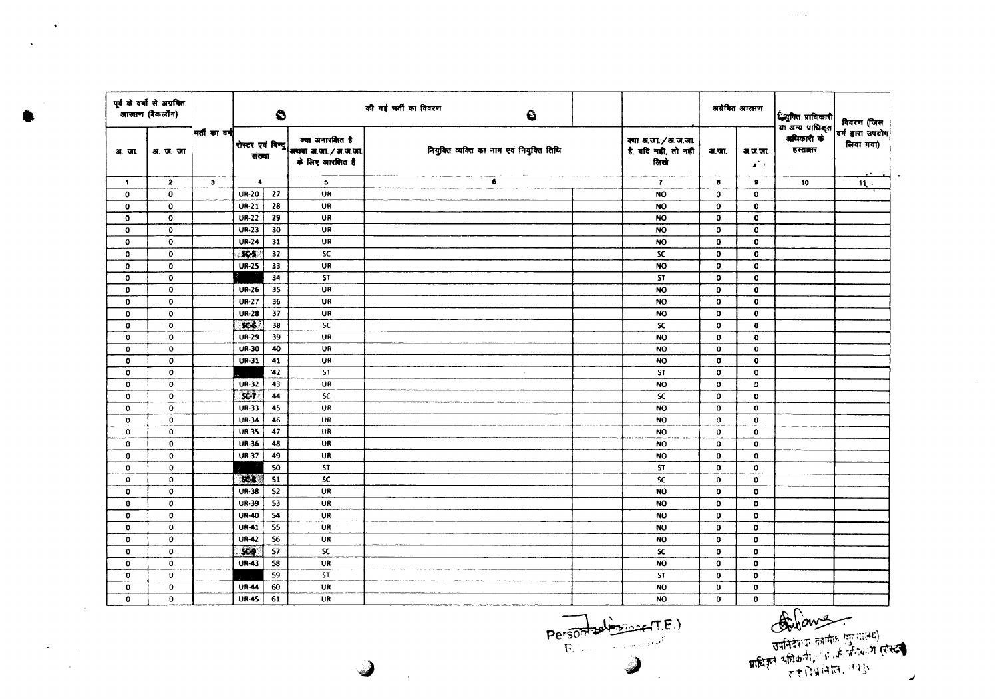| पूर्व के वर्षों से अग्रवित<br>.<br>आरक्षण (बैकलॉग) |                           |                         |                  | $\bullet$       |                                                                                             | की गई भर्ती का विवरण<br>$\bullet$         |                                                     |              | अग्रेषित आरक्षण                    | <b>्रियुक्ति प्राधिकारी</b><br>या अन्य प्राधिकृत | विवरण (जिस                     |  |
|----------------------------------------------------|---------------------------|-------------------------|------------------|-----------------|---------------------------------------------------------------------------------------------|-------------------------------------------|-----------------------------------------------------|--------------|------------------------------------|--------------------------------------------------|--------------------------------|--|
| अ. जा.                                             | ∣मतीका वर्ष∣<br>अ. ज. जा. |                         |                  |                 | क्या अनारशित है<br>  रोस्टर एवं बिन्दु   अध्यया अ.जा. / अ.ज.जा.  <br> -<br>के लिए आरबिगत है | नियुक्ति व्यक्ति का नाम एवं नियुक्ति तिथि | क्या अ.जा./अ.ज.जा.<br>है, वदि नहीं, तो नहीं<br>लिखे | अ.जा.        | अ.ज.जा.<br>$\mathbf{a}^{\star}$ ). | अधिकारी के<br>डस्तानर                            | वर्ग द्वारा उपयोग<br>लिया गया) |  |
| $\mathbf{1}$                                       | $\overline{z}$            | $\overline{\mathbf{3}}$ | $\ddot{\bullet}$ |                 | 5                                                                                           | 6                                         | $\mathbf{7}$                                        | 8            | $\bullet$                          | 10                                               | $\mathbf{11}$ .                |  |
| $\mathbf{0}$                                       | $\mathbf 0$               |                         | <b>UR-20</b>     | 27              | UR                                                                                          |                                           | <b>NO</b>                                           | $\Omega$     | $\mathbf{o}$                       |                                                  |                                |  |
| $\mathbf{o}$                                       | $\mathbf 0$               |                         | $UR-21$          | 28              | UR                                                                                          |                                           | <b>NO</b>                                           | 0            | $\mathbf 0$                        |                                                  |                                |  |
| $\mathbf 0$                                        | $\mathbf 0$               |                         | <b>UR-22</b>     | 29              | <b>UR</b>                                                                                   |                                           | <b>NO</b>                                           | $\mathbf 0$  | 0                                  |                                                  |                                |  |
| $\mathbf{o}$                                       | $\mathbf 0$               |                         | UR-23            | 30              | <b>UR</b>                                                                                   |                                           | <b>NO</b>                                           | $\mathbf 0$  | 0                                  |                                                  |                                |  |
| $\circ$                                            | $\circ$                   |                         | <b>UR-24</b>     | 31              | UR                                                                                          |                                           | <b>NO</b>                                           | 0            | $\mathbf 0$                        |                                                  |                                |  |
| $\mathbf{0}$                                       | $\mathbf 0$               |                         | $3C-5$           | 32              | SC.                                                                                         |                                           | <b>SC</b>                                           | 0            | 0                                  |                                                  |                                |  |
| $\mathbf{0}$                                       | $\mathbf 0$               |                         | <b>UR-25</b>     | 33              | <b>UR</b>                                                                                   |                                           | <b>NO</b>                                           | 0            | $\mathbf 0$                        |                                                  |                                |  |
| $\mathbf 0$                                        | $\mathbf 0$               |                         |                  | 34              | <b>ST</b>                                                                                   |                                           | <b>ST</b>                                           | $\Omega$     | $\mathbf{o}$                       |                                                  |                                |  |
| $\bf{0}$                                           | $\mathbf{0}$              |                         | <b>UR-26</b>     | 35              | UR                                                                                          |                                           | <b>NO</b>                                           | $\mathbf 0$  | $\mathbf 0$                        |                                                  |                                |  |
| $\bf{0}$                                           | $\mathbf 0$               |                         | <b>UR-27</b>     | 36              | <b>UR</b>                                                                                   |                                           | <b>NO</b>                                           | O            | 0                                  |                                                  |                                |  |
| $\mathbf 0$                                        | $\mathbf 0$               |                         | <b>UR-28</b>     | 37              | <b>UR</b>                                                                                   |                                           | <b>NO</b>                                           | 0            | $\mathbf 0$                        |                                                  |                                |  |
| $\mathbf 0$                                        | $\mathbf 0$               |                         | $6$              | 38              | SC.                                                                                         |                                           | <b>SC</b>                                           | $\mathbf{o}$ | $\mathbf{0}$                       |                                                  |                                |  |
| $\mathbf 0$                                        | $\bullet$                 |                         | <b>UR-29</b>     | 39              | <b>UR</b>                                                                                   |                                           | <b>NO</b>                                           | 0            | $\mathbf o$                        |                                                  |                                |  |
| 0                                                  | $\mathbf 0$               |                         | UR-30            | 40              | UR                                                                                          |                                           | <b>NO</b>                                           | 0            | $\mathbf 0$                        |                                                  |                                |  |
| $\mathbf 0$                                        | $\mathbf 0$               |                         | <b>UR-31</b>     | 41              | <b>UR</b>                                                                                   |                                           | <b>NO</b>                                           | $\mathbf 0$  | $\bf{0}$                           |                                                  |                                |  |
| $\mathbf{0}$                                       | $\mathbf{0}$              |                         |                  | 42              | ST.                                                                                         |                                           | <b>ST</b>                                           | $\mathbf{o}$ | $\mathbf{o}$                       |                                                  |                                |  |
| $\mathbf{0}$                                       | $\mathbf 0$               |                         | $UR-32$          | 43              | UR                                                                                          |                                           | NO.                                                 | $\mathbf{o}$ | $\circ$                            |                                                  |                                |  |
| $\mathbf{o}$                                       | $\mathbf{o}$              |                         | $SC-7$           | 44              | SC.                                                                                         |                                           | SC.                                                 | 0            | o                                  |                                                  |                                |  |
| $\mathbf 0$                                        | $\mathbf 0$               |                         | UR-33            | 45              | UR.                                                                                         |                                           | <b>NO</b>                                           | $\mathbf{o}$ | $\mathbf o$                        |                                                  |                                |  |
| $\mathbf{o}$                                       | $\mathbf 0$               |                         | <b>UR-34</b>     | 46              | UR                                                                                          |                                           | <b>NO</b>                                           | $\mathbf 0$  | $\mathbf 0$                        |                                                  |                                |  |
| $\mathbf{o}$                                       | $\mathbf 0$               |                         | <b>UR-35</b>     | 47              | UR                                                                                          |                                           | <b>NO</b>                                           | $\Omega$     | 0                                  |                                                  |                                |  |
| $\mathbf 0$                                        | $\mathbf 0$               |                         | UR-36            | 48              | UR                                                                                          |                                           | <b>NO</b>                                           | 0            | 0                                  |                                                  |                                |  |
| $\bf{0}$                                           | $\bf{0}$                  |                         | UR-37            | 49              | UR                                                                                          |                                           | <b>NO</b>                                           | $\mathbf 0$  | $\mathbf 0$                        |                                                  |                                |  |
| $\mathbf{o}$                                       | $\mathbf{0}$              |                         |                  | $\overline{50}$ | <b>ST</b>                                                                                   |                                           | ST                                                  | 0            | 0                                  |                                                  |                                |  |
| $\mathbf{o}$                                       | $\mathbf 0$               |                         | $x +$            | 51              | <b>SC</b>                                                                                   |                                           | <b>SC</b>                                           | $\mathbf 0$  | $\mathbf 0$                        |                                                  |                                |  |
| $\mathbf 0$                                        | $\mathbf 0$               |                         | <b>UR-38</b>     | 52              | <b>UR</b>                                                                                   |                                           | NO                                                  | 0            | $\mathbf{o}$                       |                                                  |                                |  |
| $\mathbf 0$                                        | 0                         |                         | <b>UR-39</b>     | 53              | <b>UR</b>                                                                                   |                                           | <b>NO</b>                                           | 0            | 0                                  |                                                  |                                |  |
| $\mathbf{0}$                                       | $\mathbf{0}$              |                         | UR-40            | 54              | <b>UR</b>                                                                                   |                                           | <b>NO</b>                                           | 0            | $\mathbf{o}$                       |                                                  |                                |  |
| $\mathbf{o}$                                       | $\mathbf 0$               |                         | <b>UR-41</b>     | 55              | UR                                                                                          |                                           | <b>NO</b>                                           | $\mathbf 0$  | $\mathbf{o}$                       |                                                  |                                |  |
| 0                                                  | $\mathbf 0$               |                         | <b>UR-42</b>     | 56              | <b>UR</b>                                                                                   |                                           | NO.                                                 | 0            | $\mathbf{0}$                       |                                                  |                                |  |
| 0                                                  | $\mathbf 0$               |                         | \$64             | 57              | <b>SC</b>                                                                                   |                                           | SC                                                  | 0            | 0                                  |                                                  |                                |  |
| $\mathbf 0$                                        | $\mathbf 0$               |                         | <b>UR-43</b>     | 58              | UR                                                                                          |                                           | <b>NO</b>                                           | $\mathbf o$  | $\mathbf 0$                        |                                                  |                                |  |
| 0                                                  | $\mathbf 0$               |                         |                  | 59              | <b>ST</b>                                                                                   |                                           | ST                                                  | $\mathbf 0$  | $\mathbf 0$                        |                                                  |                                |  |
| $\mathbf 0$                                        | $\circ$                   |                         | <b>UR-44</b>     | 60              | UR                                                                                          |                                           | <b>NO</b>                                           | 0            | 0                                  |                                                  |                                |  |
| $\mathbf{0}$                                       | $\mathbf{o}$              |                         | <b>UR-45</b>     | 61              | UR                                                                                          |                                           | <b>NO</b>                                           | $\mathbf{o}$ | $\mathbf{0}$                       |                                                  |                                |  |

3

Person believing (T.E.)

◢